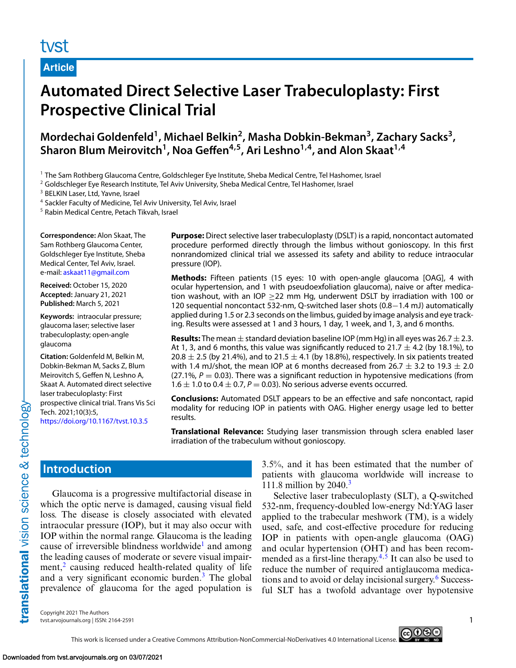# tyst

**Article**

# **Automated Direct Selective Laser Trabeculoplasty: First Prospective Clinical Trial**

**Mordechai Goldenfeld1, Michael Belkin2, Masha Dobkin-Bekman3, Zachary Sacks3,** Sharon Blum Meirovitch<sup>1</sup>, Noa Geffen<sup>4,5</sup>, Ari Leshno<sup>1,4</sup>, and Alon Skaat<sup>1,4</sup>

<sup>1</sup> The Sam Rothberg Glaucoma Centre, Goldschleger Eye Institute, Sheba Medical Centre, Tel Hashomer, Israel

<sup>2</sup> Goldschleger Eye Research Institute, Tel Aviv University, Sheba Medical Centre, Tel Hashomer, Israel

<sup>3</sup> BELKIN Laser, Ltd, Yavne, Israel

<sup>4</sup> Sackler Faculty of Medicine, Tel Aviv University, Tel Aviv, Israel

<sup>5</sup> Rabin Medical Centre, Petach Tikvah, Israel

**Correspondence:** Alon Skaat, The Sam Rothberg Glaucoma Center, Goldschleger Eye Institute, Sheba Medical Center, Tel Aviv, Israel. e-mail: [askaat11@gmail.com](mailto:askaat11@gmail.com)

**Received:** October 15, 2020 **Accepted:** January 21, 2021 **Published:** March 5, 2021

**Keywords:** intraocular pressure; glaucoma laser; selective laser trabeculoplasty; open-angle glaucoma

**Citation:** Goldenfeld M, Belkin M, Dobkin-Bekman M, Sacks Z, Blum Meirovitch S, Geffen N, Leshno A, Skaat A. Automated direct selective laser trabeculoplasty: First prospective clinical trial. Trans Vis Sci Tech. 2021;10(3):5, <https://doi.org/10.1167/tvst.10.3.5>

**Purpose:** Direct selective laser trabeculoplasty (DSLT) is a rapid, noncontact automated procedure performed directly through the limbus without gonioscopy. In this first nonrandomized clinical trial we assessed its safety and ability to reduce intraocular pressure (IOP).

**Methods:** Fifteen patients (15 eyes: 10 with open-angle glaucoma [OAG], 4 with ocular hypertension, and 1 with pseudoexfoliation glaucoma), naive or after medication washout, with an IOP ≥22 mm Hg, underwent DSLT by irradiation with 100 or 120 sequential noncontact 532-nm, Q-switched laser shots (0.8−1.4 mJ) automatically applied during 1.5 or 2.3 seconds on the limbus, guided by image analysis and eye tracking. Results were assessed at 1 and 3 hours, 1 day, 1 week, and 1, 3, and 6 months.

**Results:** The mean  $\pm$  standard deviation baseline IOP (mm Hg) in all eyes was 26.7  $\pm$  2.3. At 1, 3, and 6 months, this value was significantly reduced to 21.7  $\pm$  4.2 (by 18.1%), to 20.8  $\pm$  2.5 (by 21.4%), and to 21.5  $\pm$  4.1 (by 18.8%), respectively. In six patients treated with 1.4 mJ/shot, the mean IOP at 6 months decreased from  $26.7 \pm 3.2$  to 19.3  $\pm$  2.0  $(27.1\% , P = 0.03)$ . There was a significant reduction in hypotensive medications (from 1.6  $\pm$  1.0 to 0.4  $\pm$  0.7, P = 0.03). No serious adverse events occurred.

**Conclusions:** Automated DSLT appears to be an effective and safe noncontact, rapid modality for reducing IOP in patients with OAG. Higher energy usage led to better results.

**Translational Relevance:** Studying laser transmission through sclera enabled laser irradiation of the trabeculum without gonioscopy.

# **Introduction**

Glaucoma is a progressive multifactorial disease in which the optic nerve is damaged, causing visual field loss. The disease is closely associated with elevated intraocular pressure (IOP), but it may also occur with IOP within the normal range. Glaucoma is the leading cause of irreversible blindness worldwide<sup>1</sup> and among the leading causes of moderate or severe visual impairment, $\frac{2}{3}$  causing reduced health-related quality of life and a very significant economic burden. $3$  The global prevalence of glaucoma for the aged population is

3.5%, and it has been estimated that the number of patients with glaucoma worldwide will increase to 111.8 million by 2040.<sup>3</sup>

Selective laser trabeculoplasty (SLT), a Q-switched 532-nm, frequency-doubled low-energy Nd:YAG laser applied to the trabecular meshwork (TM), is a widely used, safe, and cost-effective procedure for reducing IOP in patients with open-angle glaucoma (OAG) and ocular hypertension (OHT) and has been recommended as a first-line therapy.<sup>4,5</sup> It can also be used to reduce the number of required antiglaucoma medications and to avoid or delay incisional surgery.[6](#page-9-0) Successful SLT has a twofold advantage over hypotensive

Copyright 2021 The Authors tvst.arvojournals.org | ISSN: 2164-2591 1

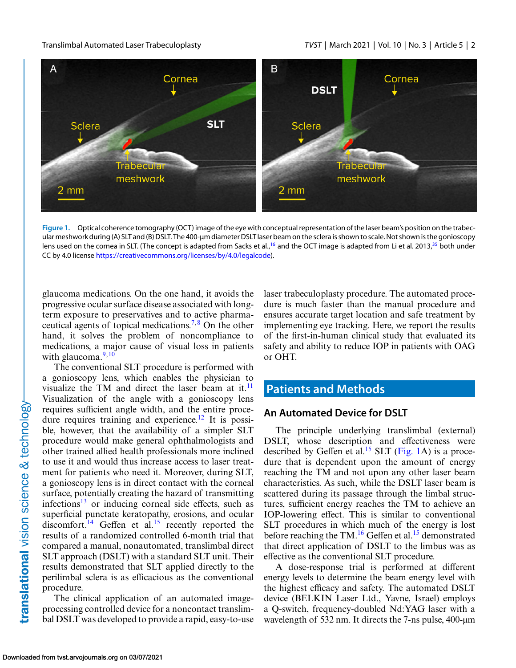<span id="page-1-0"></span>

**Figure 1.** Optical coherence tomography (OCT) image of the eye with conceptual representation of the laser beam's position on the trabecular meshwork during (A) SLT and (B) DSLT. The 400-μm diameter DSLT laser beam on the sclera is shown to scale. Not shown is the gonioscopy lens used on the cornea in SLT. (The concept is adapted from Sacks et al.,<sup>[16](#page-9-0)</sup> and the OCT image is adapted from Li et al. 2013,<sup>35</sup> both under CC by 4.0 license [https://creativecommons.org/licenses/by/4.0/legalcode\)](https://creativecommons.org/licenses/by/4.0/legalcode).

glaucoma medications. On the one hand, it avoids the progressive ocular surface disease associated with longterm exposure to preservatives and to active pharmaceutical agents of topical medications.[7,8](#page-9-0) On the other hand, it solves the problem of noncompliance to medications, a major cause of visual loss in patients with glaucoma. $9,10$ 

The conventional SLT procedure is performed with a gonioscopy lens, which enables the physician to visualize the TM and direct the laser beam at it. $<sup>11</sup>$  $<sup>11</sup>$  $<sup>11</sup>$ </sup> Visualization of the angle with a gonioscopy lens requires sufficient angle width, and the entire proce-dure requires training and experience.<sup>[12](#page-9-0)</sup> It is possible, however, that the availability of a simpler SLT procedure would make general ophthalmologists and other trained allied health professionals more inclined to use it and would thus increase access to laser treatment for patients who need it. Moreover, during SLT, a gonioscopy lens is in direct contact with the corneal surface, potentially creating the hazard of transmitting infections<sup>[13](#page-9-0)</sup> or inducing corneal side effects, such as superficial punctate keratopathy, erosions, and ocular discomfort.<sup>[14](#page-9-0)</sup> Geffen et al.<sup>[15](#page-9-0)</sup> recently reported the results of a randomized controlled 6-month trial that compared a manual, nonautomated, translimbal direct SLT approach (DSLT) with a standard SLT unit. Their results demonstrated that SLT applied directly to the perilimbal sclera is as efficacious as the conventional procedure.

The clinical application of an automated imageprocessing controlled device for a noncontact translimbal DSLT was developed to provide a rapid, easy-to-use laser trabeculoplasty procedure. The automated procedure is much faster than the manual procedure and ensures accurate target location and safe treatment by implementing eye tracking. Here, we report the results of the first-in-human clinical study that evaluated its safety and ability to reduce IOP in patients with OAG or OHT.

# **Patients and Methods**

#### **An Automated Device for DSLT**

The principle underlying translimbal (external) DSLT, whose description and effectiveness were described by Geffen et al.<sup>[15](#page-9-0)</sup> SLT (Fig. 1A) is a procedure that is dependent upon the amount of energy reaching the TM and not upon any other laser beam characteristics. As such, while the DSLT laser beam is scattered during its passage through the limbal structures, sufficient energy reaches the TM to achieve an IOP-lowering effect. This is similar to conventional SLT procedures in which much of the energy is lost before reaching the TM.<sup>[16](#page-9-0)</sup> Geffen et al.<sup>[15](#page-9-0)</sup> demonstrated that direct application of DSLT to the limbus was as effective as the conventional SLT procedure.

A dose-response trial is performed at different energy levels to determine the beam energy level with the highest efficacy and safety. The automated DSLT device (BELKIN Laser Ltd., Yavne, Israel) employs a Q-switch, frequency-doubled Nd:YAG laser with a wavelength of 532 nm. It directs the 7-ns pulse, 400-μm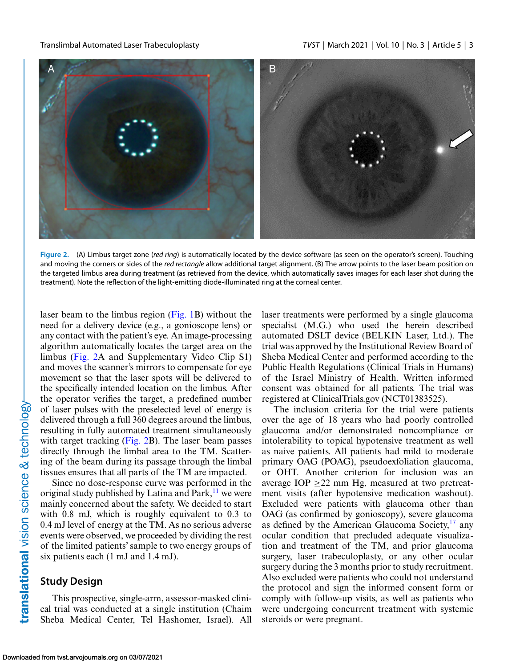

**Figure 2.** (A) Limbus target zone (*red ring*) is automatically located by the device software (as seen on the operator's screen). Touching and moving the corners or sides of the *red rectangle* allow additional target alignment. (B) The arrow points to the laser beam position on the targeted limbus area during treatment (as retrieved from the device, which automatically saves images for each laser shot during the treatment). Note the reflection of the light-emitting diode-illuminated ring at the corneal center.

laser beam to the limbus region [\(Fig. 1B](#page-1-0)) without the need for a delivery device (e.g., a gonioscope lens) or any contact with the patient's eye. An image-processing algorithm automatically locates the target area on the limbus (Fig. 2A and Supplementary Video Clip S1) and moves the scanner's mirrors to compensate for eye movement so that the laser spots will be delivered to the specifically intended location on the limbus. After the operator verifies the target, a predefined number of laser pulses with the preselected level of energy is delivered through a full 360 degrees around the limbus, resulting in fully automated treatment simultaneously with target tracking (Fig. 2B). The laser beam passes directly through the limbal area to the TM. Scattering of the beam during its passage through the limbal tissues ensures that all parts of the TM are impacted.

Since no dose-response curve was performed in the original study published by Latina and Park, $^{11}$  $^{11}$  $^{11}$  we were mainly concerned about the safety. We decided to start with 0.8 mJ, which is roughly equivalent to 0.3 to 0.4 mJ level of energy at the TM. As no serious adverse events were observed, we proceeded by dividing the rest of the limited patients' sample to two energy groups of six patients each (1 mJ and 1.4 mJ).

#### **Study Design**

This prospective, single-arm, assessor-masked clinical trial was conducted at a single institution (Chaim Sheba Medical Center, Tel Hashomer, Israel). All laser treatments were performed by a single glaucoma specialist (M.G.) who used the herein described automated DSLT device (BELKIN Laser, Ltd.). The trial was approved by the Institutional Review Board of Sheba Medical Center and performed according to the Public Health Regulations (Clinical Trials in Humans) of the Israel Ministry of Health. Written informed consent was obtained for all patients. The trial was registered at ClinicalTrials.gov (NCT01383525).

The inclusion criteria for the trial were patients over the age of 18 years who had poorly controlled glaucoma and/or demonstrated noncompliance or intolerability to topical hypotensive treatment as well as naive patients. All patients had mild to moderate primary OAG (POAG), pseudoexfoliation glaucoma, or OHT. Another criterion for inclusion was an average IOP  $\geq$  22 mm Hg, measured at two pretreatment visits (after hypotensive medication washout). Excluded were patients with glaucoma other than OAG (as confirmed by gonioscopy), severe glaucoma as defined by the American Glaucoma Society, $17$  any ocular condition that precluded adequate visualization and treatment of the TM, and prior glaucoma surgery, laser trabeculoplasty, or any other ocular surgery during the 3 months prior to study recruitment. Also excluded were patients who could not understand the protocol and sign the informed consent form or comply with follow-up visits, as well as patients who were undergoing concurrent treatment with systemic steroids or were pregnant.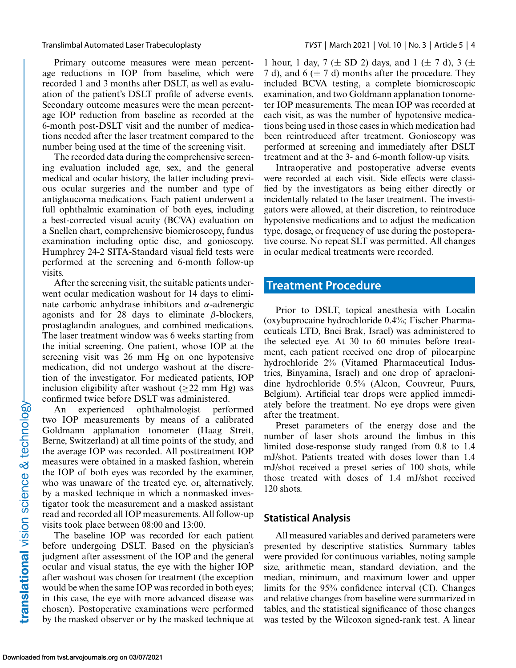Primary outcome measures were mean percentage reductions in IOP from baseline, which were recorded 1 and 3 months after DSLT, as well as evaluation of the patient's DSLT profile of adverse events. Secondary outcome measures were the mean percentage IOP reduction from baseline as recorded at the 6-month post-DSLT visit and the number of medications needed after the laser treatment compared to the number being used at the time of the screening visit.

The recorded data during the comprehensive screening evaluation included age, sex, and the general medical and ocular history, the latter including previous ocular surgeries and the number and type of antiglaucoma medications. Each patient underwent a full ophthalmic examination of both eyes, including a best-corrected visual acuity (BCVA) evaluation on a Snellen chart, comprehensive biomicroscopy, fundus examination including optic disc, and gonioscopy. Humphrey 24-2 SITA-Standard visual field tests were performed at the screening and 6-month follow-up visits.

After the screening visit, the suitable patients underwent ocular medication washout for 14 days to eliminate carbonic anhydrase inhibitors and α-adrenergic agonists and for 28 days to eliminate  $\beta$ -blockers, prostaglandin analogues, and combined medications. The laser treatment window was 6 weeks starting from the initial screening. One patient, whose IOP at the screening visit was 26 mm Hg on one hypotensive medication, did not undergo washout at the discretion of the investigator. For medicated patients, IOP inclusion eligibility after washout ( $\geq$ 22 mm Hg) was confirmed twice before DSLT was administered.

An experienced ophthalmologist performed two IOP measurements by means of a calibrated Goldmann applanation tonometer (Haag Streit, Berne, Switzerland) at all time points of the study, and the average IOP was recorded. All posttreatment IOP measures were obtained in a masked fashion, wherein the IOP of both eyes was recorded by the examiner, who was unaware of the treated eye, or, alternatively, by a masked technique in which a nonmasked investigator took the measurement and a masked assistant read and recorded all IOP measurements. All follow-up visits took place between 08:00 and 13:00.

The baseline IOP was recorded for each patient before undergoing DSLT. Based on the physician's judgment after assessment of the IOP and the general ocular and visual status, the eye with the higher IOP after washout was chosen for treatment (the exception would be when the same IOP was recorded in both eyes; in this case, the eye with more advanced disease was chosen). Postoperative examinations were performed by the masked observer or by the masked technique at

1 hour, 1 day, 7 ( $\pm$  SD 2) days, and 1 ( $\pm$  7 d), 3 ( $\pm$ 7 d), and 6  $(\pm 7$  d) months after the procedure. They included BCVA testing, a complete biomicroscopic examination, and two Goldmann applanation tonometer IOP measurements. The mean IOP was recorded at each visit, as was the number of hypotensive medications being used in those cases in which medication had been reintroduced after treatment. Gonioscopy was performed at screening and immediately after DSLT treatment and at the 3- and 6-month follow-up visits.

Intraoperative and postoperative adverse events were recorded at each visit. Side effects were classified by the investigators as being either directly or incidentally related to the laser treatment. The investigators were allowed, at their discretion, to reintroduce hypotensive medications and to adjust the medication type, dosage, or frequency of use during the postoperative course. No repeat SLT was permitted. All changes in ocular medical treatments were recorded.

# **Treatment Procedure**

Prior to DSLT, topical anesthesia with Localin (oxybuprocaine hydrochloride 0.4%; Fischer Pharmaceuticals LTD, Bnei Brak, Israel) was administered to the selected eye. At 30 to 60 minutes before treatment, each patient received one drop of pilocarpine hydrochloride 2% (Vitamed Pharmaceutical Industries, Binyamina, Israel) and one drop of apraclonidine hydrochloride 0.5% (Alcon, Couvreur, Puurs, Belgium). Artificial tear drops were applied immediately before the treatment. No eye drops were given after the treatment.

Preset parameters of the energy dose and the number of laser shots around the limbus in this limited dose-response study ranged from 0.8 to 1.4 mJ/shot. Patients treated with doses lower than 1.4 mJ/shot received a preset series of 100 shots, while those treated with doses of 1.4 mJ/shot received 120 shots.

## **Statistical Analysis**

All measured variables and derived parameters were presented by descriptive statistics. Summary tables were provided for continuous variables, noting sample size, arithmetic mean, standard deviation, and the median, minimum, and maximum lower and upper limits for the 95% confidence interval (CI). Changes and relative changes from baseline were summarized in tables, and the statistical significance of those changes was tested by the Wilcoxon signed-rank test. A linear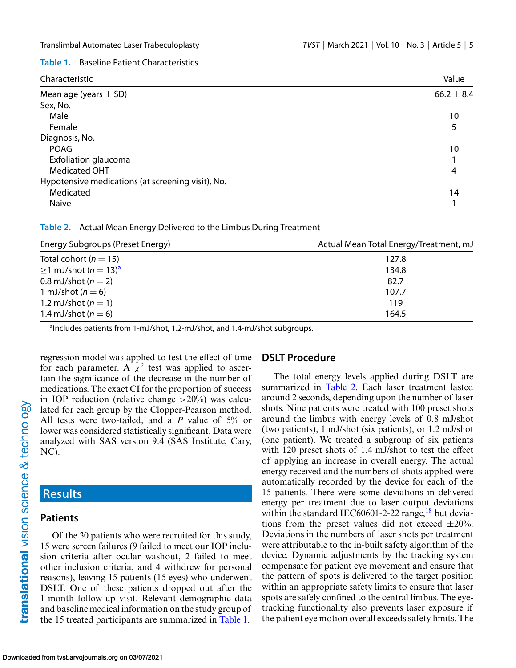#### **Table 1.** Baseline Patient Characteristics

| Characteristic                                    | Value          |
|---------------------------------------------------|----------------|
| Mean age (years $\pm$ SD)                         | $66.2 \pm 8.4$ |
| Sex, No.                                          |                |
| Male                                              | 10             |
| Female                                            |                |
| Diagnosis, No.                                    |                |
| <b>POAG</b>                                       | 10             |
| Exfoliation glaucoma                              |                |
| <b>Medicated OHT</b>                              | 4              |
| Hypotensive medications (at screening visit), No. |                |
| Medicated                                         | 14             |
| Naive                                             |                |

#### **Table 2.** Actual Mean Energy Delivered to the Limbus During Treatment

| Energy Subgroups (Preset Energy)           | Actual Mean Total Energy/Treatment, mJ |
|--------------------------------------------|----------------------------------------|
| Total cohort ( $n = 15$ )                  | 127.8                                  |
| $>1$ mJ/shot ( <i>n</i> = 13) <sup>a</sup> | 134.8                                  |
| 0.8 mJ/shot ( $n = 2$ )                    | 82.7                                   |
| 1 mJ/shot ( $n = 6$ )                      | 107.7                                  |
| 1.2 mJ/shot $(n = 1)$                      | 119                                    |
| 1.4 mJ/shot ( $n = 6$ )                    | 164.5                                  |

aIncludes patients from 1-mJ/shot, 1.2-mJ/shot, and 1.4-mJ/shot subgroups.

regression model was applied to test the effect of time for each parameter. A  $\chi^2$  test was applied to ascertain the significance of the decrease in the number of medications. The exact CI for the proportion of success in IOP reduction (relative change  $>20\%$ ) was calculated for each group by the Clopper-Pearson method. All tests were two-tailed, and a *P* value of 5% or lower was considered statistically significant. Data were analyzed with SAS version 9.4 (SAS Institute, Cary, NC).

# **Results**

### **Patients**

Of the 30 patients who were recruited for this study, 15 were screen failures (9 failed to meet our IOP inclusion criteria after ocular washout, 2 failed to meet other inclusion criteria, and 4 withdrew for personal reasons), leaving 15 patients (15 eyes) who underwent DSLT. One of these patients dropped out after the 1-month follow-up visit. Relevant demographic data and baseline medical information on the study group of the 15 treated participants are summarized in Table 1.

### **DSLT Procedure**

The total energy levels applied during DSLT are summarized in Table 2. Each laser treatment lasted around 2 seconds, depending upon the number of laser shots. Nine patients were treated with 100 preset shots around the limbus with energy levels of 0.8 mJ/shot (two patients), 1 mJ/shot (six patients), or 1.2 mJ/shot (one patient). We treated a subgroup of six patients with 120 preset shots of 1.4 mJ/shot to test the effect of applying an increase in overall energy. The actual energy received and the numbers of shots applied were automatically recorded by the device for each of the 15 patients. There were some deviations in delivered energy per treatment due to laser output deviations within the standard IEC60601-2-22 range, $^{18}$  $^{18}$  $^{18}$  but deviations from the preset values did not exceed  $\pm 20\%$ . Deviations in the numbers of laser shots per treatment were attributable to the in-built safety algorithm of the device. Dynamic adjustments by the tracking system compensate for patient eye movement and ensure that the pattern of spots is delivered to the target position within an appropriate safety limits to ensure that laser spots are safely confined to the central limbus. The eyetracking functionality also prevents laser exposure if the patient eye motion overall exceeds safety limits. The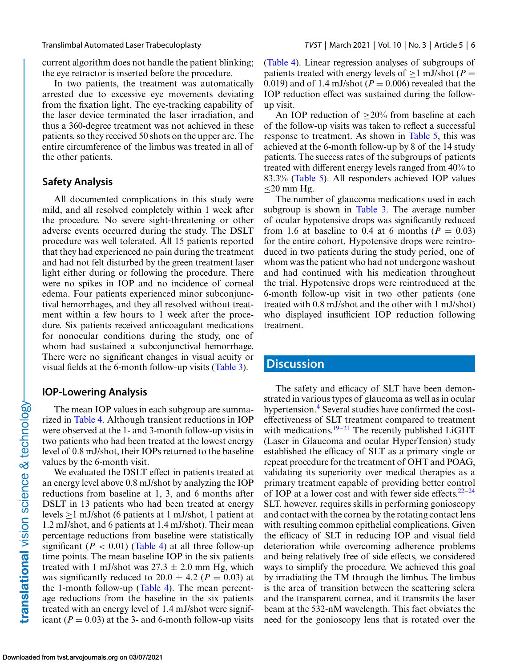current algorithm does not handle the patient blinking; the eye retractor is inserted before the procedure.

In two patients, the treatment was automatically arrested due to excessive eye movements deviating from the fixation light. The eye-tracking capability of the laser device terminated the laser irradiation, and thus a 360-degree treatment was not achieved in these patients, so they received 50 shots on the upper arc. The entire circumference of the limbus was treated in all of the other patients.

### **Safety Analysis**

All documented complications in this study were mild, and all resolved completely within 1 week after the procedure. No severe sight-threatening or other adverse events occurred during the study. The DSLT procedure was well tolerated. All 15 patients reported that they had experienced no pain during the treatment and had not felt disturbed by the green treatment laser light either during or following the procedure. There were no spikes in IOP and no incidence of corneal edema. Four patients experienced minor subconjunctival hemorrhages, and they all resolved without treatment within a few hours to 1 week after the procedure. Six patients received anticoagulant medications for nonocular conditions during the study, one of whom had sustained a subconjunctival hemorrhage. There were no significant changes in visual acuity or visual fields at the 6-month follow-up visits [\(Table 3\)](#page-6-0).

### **IOP-Lowering Analysis**

The mean IOP values in each subgroup are summarized in [Table 4.](#page-7-0) Although transient reductions in IOP were observed at the 1- and 3-month follow-up visits in two patients who had been treated at the lowest energy level of 0.8 mJ/shot, their IOPs returned to the baseline values by the 6-month visit.

We evaluated the DSLT effect in patients treated at an energy level above 0.8 mJ/shot by analyzing the IOP reductions from baseline at 1, 3, and 6 months after DSLT in 13 patients who had been treated at energy levels  $\geq$  1 mJ/shot (6 patients at 1 mJ/shot, 1 patient at 1.2 mJ/shot, and 6 patients at 1.4 mJ/shot). Their mean percentage reductions from baseline were statistically significant ( $P < 0.01$ ) [\(Table 4\)](#page-7-0) at all three follow-up time points. The mean baseline IOP in the six patients treated with 1 mJ/shot was  $27.3 \pm 2.0$  mm Hg, which was significantly reduced to  $20.0 \pm 4.2$  ( $P = 0.03$ ) at the 1-month follow-up [\(Table 4\)](#page-7-0). The mean percentage reductions from the baseline in the six patients treated with an energy level of 1.4 mJ/shot were significant ( $P = 0.03$ ) at the 3- and 6-month follow-up visits [\(Table 4\)](#page-7-0). Linear regression analyses of subgroups of patients treated with energy levels of  $\geq$ 1 mJ/shot (*P* = 0.019) and of 1.4 mJ/shot ( $P = 0.006$ ) revealed that the IOP reduction effect was sustained during the followup visit.

An IOP reduction of  $\geq 20\%$  from baseline at each of the follow-up visits was taken to reflect a successful response to treatment. As shown in [Table 5,](#page-7-0) this was achieved at the 6-month follow-up by 8 of the 14 study patients. The success rates of the subgroups of patients treated with different energy levels ranged from 40% to 83.3% [\(Table 5\)](#page-7-0). All responders achieved IOP values  $<$ 20 mm Hg.

The number of glaucoma medications used in each subgroup is shown in [Table 3.](#page-6-0) The average number of ocular hypotensive drops was significantly reduced from 1.6 at baseline to 0.4 at 6 months ( $P = 0.03$ ) for the entire cohort. Hypotensive drops were reintroduced in two patients during the study period, one of whom was the patient who had not undergone washout and had continued with his medication throughout the trial. Hypotensive drops were reintroduced at the 6-month follow-up visit in two other patients (one treated with 0.8 mJ/shot and the other with 1 mJ/shot) who displayed insufficient IOP reduction following treatment.

### **Discussion**

The safety and efficacy of SLT have been demonstrated in various types of glaucoma as well as in ocular hypertension.<sup>4</sup> Several studies have confirmed the costeffectiveness of SLT treatment compared to treatment with medications.<sup>[19–21](#page-9-0)</sup> The recently published LiGHT (Laser in Glaucoma and ocular HyperTension) study established the efficacy of SLT as a primary single or repeat procedure for the treatment of OHT and POAG, validating its superiority over medical therapies as a primary treatment capable of providing better control of IOP at a lower cost and with fewer side effects. $22-24$ SLT, however, requires skills in performing gonioscopy and contact with the cornea by the rotating contact lens with resulting common epithelial complications. Given the efficacy of SLT in reducing IOP and visual field deterioration while overcoming adherence problems and being relatively free of side effects, we considered ways to simplify the procedure. We achieved this goal by irradiating the TM through the limbus. The limbus is the area of transition between the scattering sclera and the transparent cornea, and it transmits the laser beam at the 532-nM wavelength. This fact obviates the need for the gonioscopy lens that is rotated over the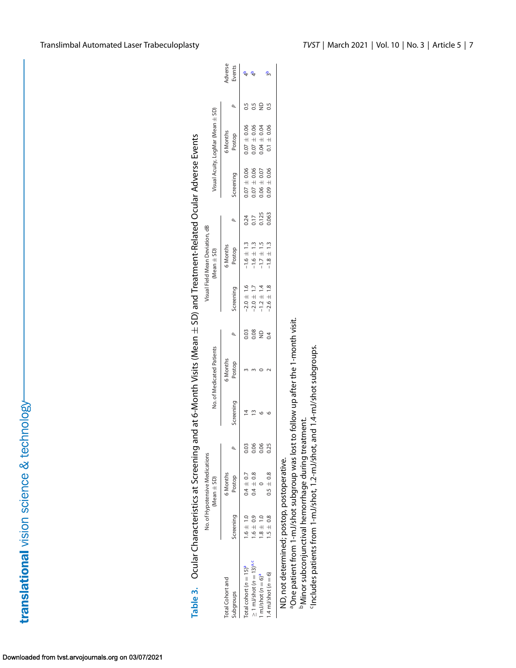<span id="page-6-0"></span>

|                                                                                        | sual Acuity, LogMar (Mean ± SD)                         | Aonths                |
|----------------------------------------------------------------------------------------|---------------------------------------------------------|-----------------------|
|                                                                                        | <b>Isual Field Mean Deviation, dl</b><br>Mean $\pm$ SD) | <b>Months</b>         |
| ning and at 6-Month Visits (Mean $\pm$ SD) and Treatment-Related Ocular Adverse Events | <b>Io. of Medicated Patients</b>                        | Month <sub>&gt;</sub> |
| Table 3. Ocular Characteristics at Screer                                              | ğ<br>o. of Hypotensive Medi<br>$Mean \pm SD$            |                       |
|                                                                                        |                                                         | otal Cohort and       |

|                                               |               | $(Mean \pm SD)$ |      |           | No. of Medicated Patients |             |                | $Mean \pm SD$  |       |                 | Visual Acuity, LogMar (Mean ± SD) |              |        |
|-----------------------------------------------|---------------|-----------------|------|-----------|---------------------------|-------------|----------------|----------------|-------|-----------------|-----------------------------------|--------------|--------|
| otal Cohort and                               |               | 6 Months        |      |           | 5 Months                  |             |                | 6 Months       |       |                 | Months                            |              | dverse |
| subgroups                                     | Screening     | Postop          |      | Screening | Postop                    |             | Screening      | Postop         |       | Screening       | Postop                            |              | Events |
| Total cohort ( $n = 15$ ) <sup>a</sup>        | $1.6 \pm 1.0$ | $0.4 \pm 0.7$   | 0.03 |           |                           | 0.03        | $-2.0 \pm 1.6$ | $-1.6 \pm 1.3$ | 0.24  | $0.07 \pm 0.06$ | $0.07 \pm 0.06$                   |              |        |
| $\geq$ 1 mJ/shot ( $n = 13$ ) <sup>a, c</sup> | $-6 \pm 0.9$  | $0.4 \pm 0.8$   | 0.06 |           |                           | 0.08        | $-2.0 \pm 1.7$ | $-1.6 \pm 1.3$ | 0.17  | $0.07 + 0.06$   | $0.07 \pm 0.06$                   | 0.5          |        |
| $mJ$ /shot $(n = 6)^a$                        | $.8 \pm 1.0$  |                 | 0.06 |           |                           | $\supseteq$ | $-1.2 \pm 1.4$ | $-1.7 \pm 1.5$ | 0.125 | $0.06 \pm 0.07$ | $0.04 \pm 0.04$                   | $\mathsf{R}$ |        |
| $.4$ mJ/shot ( $n = 6$ )                      | $1.5 \pm 0.8$ | $0.5 \pm 0.8$   | 0.25 |           |                           |             | $-2.6 \pm 1.8$ | $-1.8 \pm 1.3$ | 0.063 | $0.09 \pm 0.06$ | $0.1 + 0.06$                      |              |        |
| $\begin{bmatrix} 1 \\ 1 \\ 1 \end{bmatrix}$   |               |                 |      |           |                           |             |                |                |       |                 |                                   |              |        |

ND, not determined; postop, postoperative. ND, not determined; postop, postoperative.

<sup>a</sup>One patient from 1-mJ/shot subgroup was lost to follow up after the 1-month visit. aOne patient from 1-mJ/shot subgroup was lost to follow up after the 1-month visit.

<sup>b</sup>Minor subconjunctival hemorrhage during treatment. bMinor subconjunctival hemorrhage during treatment.

"Includes patients from 1-mJ/shot, 1.2-mJ/shot, and 1.4-mJ/shot subgroups. cIncludes patients from 1-mJ/shot, 1.2-mJ/shot, and 1.4-mJ/shot subgroups.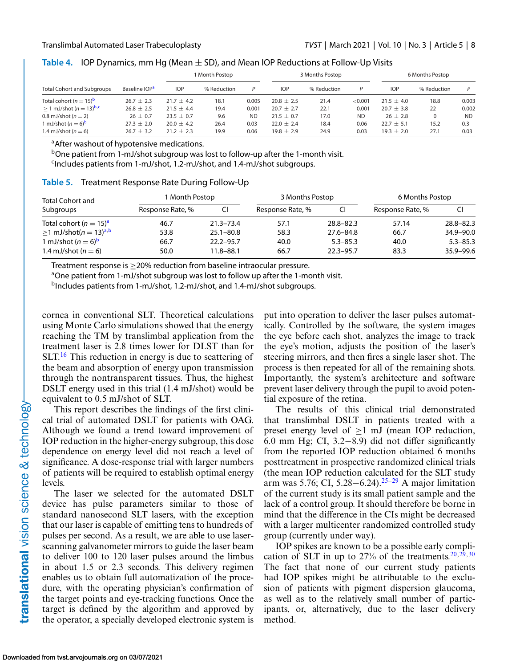<span id="page-7-0"></span>

|  | Table 4. $\;$ IOP Dynamics, mm Hg (Mean $\pm$ SD), and Mean IOP Reductions at Follow-Up Visits |  |  |  |  |
|--|------------------------------------------------------------------------------------------------|--|--|--|--|
|--|------------------------------------------------------------------------------------------------|--|--|--|--|

|                                           |                           |                | 1 Month Postop |           | 3 Months Postop |             |           | 6 Months Postop |             |           |
|-------------------------------------------|---------------------------|----------------|----------------|-----------|-----------------|-------------|-----------|-----------------|-------------|-----------|
| <b>Total Cohort and Subgroups</b>         | Baseline IOP <sup>a</sup> | <b>IOP</b>     | % Reduction    | P         | <b>IOP</b>      | % Reduction |           | <b>IOP</b>      | % Reduction | P         |
| Total cohort ( $n = 15$ ) <sup>b</sup>    | $26.7 \pm 2.3$            | $21.7 + 4.2$   | 18.1           | 0.005     | $20.8 \pm 2.5$  | 21.4        | < 0.001   | $21.5 + 4.0$    | 18.8        | 0.003     |
| $> 1$ mJ/shot ( $n = 13$ ) <sup>b,c</sup> | $26.8 \pm 2.5$            | $21.5 + 4.4$   | 19.4           | 0.001     | $20.7 \pm 2.7$  | 22.1        | 0.001     | $20.7 + 3.8$    | 22          | 0.002     |
| 0.8 mJ/shot $(n = 2)$                     | $26 \pm 0.7$              | $23.5 \pm 0.7$ | 9.6            | <b>ND</b> | $21.5 + 0.7$    | 17.0        | <b>ND</b> | $26 \pm 2.8$    | 0           | <b>ND</b> |
| 1 mJ/shot $(n = 6)^b$                     | $27.3 \pm 2.0$            | $20.0 + 4.2$   | 26.4           | 0.03      | $22.0 \pm 2.4$  | 18.4        | 0.06      | $22.7 + 5.1$    | 15.2        | 0.3       |
| 1.4 mJ/shot $(n = 6)$                     | $26.7 + 3.2$              | $21.2 + 2.3$   | 19.9           | 0.06      | $19.8 + 2.9$    | 24.9        | 0.03      | $19.3 + 2.0$    | 27.1        | 0.03      |

a After washout of hypotensive medications.

bOne patient from 1-mJ/shot subgroup was lost to follow-up after the 1-month visit.

<sup>c</sup>Includes patients from 1-mJ/shot, 1.2-mJ/shot, and 1.4-mJ/shot subgroups.

|  | Table 5. Treatment Response Rate During Follow-Up |  |  |  |  |
|--|---------------------------------------------------|--|--|--|--|
|--|---------------------------------------------------|--|--|--|--|

| <b>Total Cohort and</b>                 | Month Postop     |               | 3 Months Postop  |               | 6 Months Postop  |               |  |
|-----------------------------------------|------------------|---------------|------------------|---------------|------------------|---------------|--|
| Subgroups                               | Response Rate, % |               | Response Rate, % | CI            | Response Rate, % | CI            |  |
| Total cohort $(n = 15)^a$               | 46.7             | $21.3 - 73.4$ | 57.1             | $28.8 - 82.3$ | 57.14            | $28.8 - 82.3$ |  |
| $>1$ mJ/shot( $n = 13$ ) <sup>a,b</sup> | 53.8             | $25.1 - 80.8$ | 58.3             | 27.6-84.8     | 66.7             | $34.9 - 90.0$ |  |
| 1 mJ/shot ( $n = 6$ ) <sup>b</sup>      | 66.7             | $22.2 - 95.7$ | 40.0             | $5.3 - 85.3$  | 40.0             | $5.3 - 85.3$  |  |
| 1.4 mJ/shot ( $n = 6$ )                 | 50.0             | $11.8 - 88.1$ | 66.7             | $22.3 - 95.7$ | 83.3             | 35.9-99.6     |  |

Treatment response is  $\geq$  20% reduction from baseline intraocular pressure.<br><sup>a</sup>One patient from 1-mJ/shot subgroup was lost to follow up after the 1-month visit.

 $b$ Includes patients from 1-mJ/shot, 1.2-mJ/shot, and 1.4-mJ/shot subgroups.

cornea in conventional SLT. Theoretical calculations using Monte Carlo simulations showed that the energy reaching the TM by translimbal application from the treatment laser is 2.8 times lower for DLST than for SLT.<sup>[16](#page-9-0)</sup> This reduction in energy is due to scattering of the beam and absorption of energy upon transmission through the nontransparent tissues. Thus, the highest DSLT energy used in this trial (1.4 mJ/shot) would be equivalent to 0.5 mJ/shot of SLT.

This report describes the findings of the first clinical trial of automated DSLT for patients with OAG. Although we found a trend toward improvement of IOP reduction in the higher-energy subgroup, this dose dependence on energy level did not reach a level of significance. A dose-response trial with larger numbers of patients will be required to establish optimal energy levels.

The laser we selected for the automated DSLT device has pulse parameters similar to those of standard nanosecond SLT lasers, with the exception that our laser is capable of emitting tens to hundreds of pulses per second. As a result, we are able to use laserscanning galvanometer mirrors to guide the laser beam to deliver 100 to 120 laser pulses around the limbus in about 1.5 or 2.3 seconds. This delivery regimen enables us to obtain full automatization of the procedure, with the operating physician's confirmation of the target points and eye-tracking functions. Once the target is defined by the algorithm and approved by the operator, a specially developed electronic system is put into operation to deliver the laser pulses automatically. Controlled by the software, the system images the eye before each shot, analyzes the image to track the eye's motion, adjusts the position of the laser's steering mirrors, and then fires a single laser shot. The process is then repeated for all of the remaining shots. Importantly, the system's architecture and software prevent laser delivery through the pupil to avoid potential exposure of the retina.

The results of this clinical trial demonstrated that translimbal DSLT in patients treated with a preset energy level of  $\geq$ 1 mJ (mean IOP reduction, 6.0 mm Hg; CI, 3.2−8.9) did not differ significantly from the reported IOP reduction obtained 6 months posttreatment in prospective randomized clinical trials (the mean IOP reduction calculated for the SLT study arm was 5.76; CI, 5.28–6.24).<sup>[25–29](#page-9-0)</sup> A major limitation of the current study is its small patient sample and the lack of a control group. It should therefore be borne in mind that the difference in the CIs might be decreased with a larger multicenter randomized controlled study group (currently under way).

IOP spikes are known to be a possible early complication of SLT in up to  $27\%$  of the treatments.<sup>20,29,[30](#page-10-0)</sup> The fact that none of our current study patients had IOP spikes might be attributable to the exclusion of patients with pigment dispersion glaucoma, as well as to the relatively small number of participants, or, alternatively, due to the laser delivery method.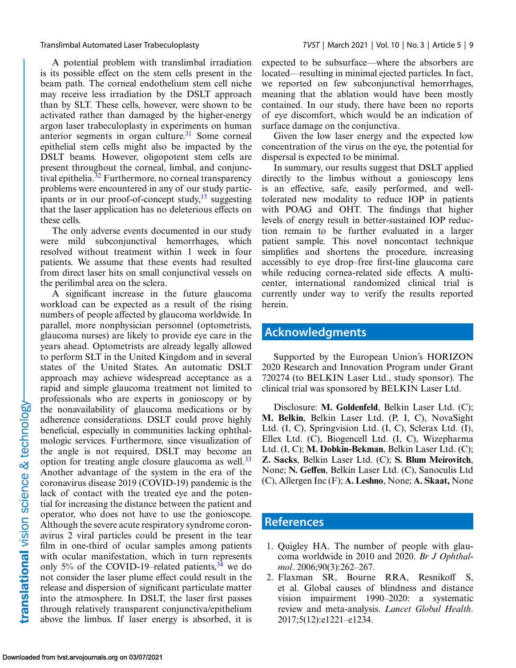<span id="page-8-0"></span>A potential problem with translimbal irradiation is its possible effect on the stem cells present in the beam path. The corneal endothelium stem cell niche may receive less irradiation by the DSLT approach than by SLT. These cells, however, were shown to be activated rather than damaged by the higher-energy argon laser trabeculoplasty in experiments on human anterior segments in organ culture.<sup>[31](#page-10-0)</sup> Some corneal epithelial stem cells might also be impacted by the DSLT beams. However, oligopotent stem cells are present throughout the corneal, limbal, and conjunc-tival epithelia.<sup>[32](#page-10-0)</sup> Furthermore, no corneal transparency problems were encountered in any of our study participants or in our proof-of-concept study, $15$  suggesting that the laser application has no deleterious effects on these cells.

The only adverse events documented in our study were mild subconjunctival hemorrhages, which resolved without treatment within 1 week in four patients. We assume that these events had resulted from direct laser hits on small conjunctival vessels on the perilimbal area on the sclera.

A significant increase in the future glaucoma workload can be expected as a result of the rising numbers of people affected by glaucoma worldwide. In parallel, more nonphysician personnel (optometrists, glaucoma nurses) are likely to provide eye care in the years ahead. Optometrists are already legally allowed to perform SLT in the United Kingdom and in several states of the United States. An automatic DSLT approach may achieve widespread acceptance as a rapid and simple glaucoma treatment not limited to professionals who are experts in gonioscopy or by the nonavailability of glaucoma medications or by adherence considerations. DSLT could prove highly beneficial, especially in communities lacking ophthalmologic services. Furthermore, since visualization of the angle is not required, DSLT may become an option for treating angle closure glaucoma as well.<sup>[33](#page-10-0)</sup> Another advantage of the system in the era of the coronavirus disease 2019 (COVID-19) pandemic is the lack of contact with the treated eye and the potential for increasing the distance between the patient and operator, who does not have to use the gonioscope. Although the severe acute respiratory syndrome coronavirus 2 viral particles could be present in the tear film in one-third of ocular samples among patients with ocular manifestation, which in turn represents only 5% of the COVID-19–related patients,  $34$  we do not consider the laser plume effect could result in the release and dispersion of significant particulate matter into the atmosphere. In DSLT, the laser first passes through relatively transparent conjunctiva/epithelium above the limbus. If laser energy is absorbed, it is expected to be subsurface—where the absorbers are located—resulting in minimal ejected particles. In fact, we reported on few subconjunctival hemorrhages, meaning that the ablation would have been mostly contained. In our study, there have been no reports of eye discomfort, which would be an indication of surface damage on the conjunctiva.

Given the low laser energy and the expected low concentration of the virus on the eye, the potential for dispersal is expected to be minimal.

In summary, our results suggest that DSLT applied directly to the limbus without a gonioscopy lens is an effective, safe, easily performed, and welltolerated new modality to reduce IOP in patients with POAG and OHT. The findings that higher levels of energy result in better-sustained IOP reduction remain to be further evaluated in a larger patient sample. This novel noncontact technique simplifies and shortens the procedure, increasing accessibly to eye drop–free first-line glaucoma care while reducing cornea-related side effects. A multicenter, international randomized clinical trial is currently under way to verify the results reported herein.

## **Acknowledgments**

Supported by the European Union's HORIZON 2020 Research and Innovation Program under Grant 720274 (to BELKIN Laser Ltd., study sponsor). The clinical trial was sponsored by BELKIN Laser Ltd.

Disclosure: **M. Goldenfeld**, Belkin Laser Ltd. (C); **M. Belkin**, Belkin Laser Ltd. (P, I, C), NovaSight Ltd. (I, C), Springvision Ltd. (I, C), Sclerax Ltd. (I), Ellex Ltd. (C), Biogencell Ltd. (I, C), Wizepharma Ltd. (I, C); **M. Dobkin-Bekman**, Belkin Laser Ltd. (C); **Z. Sacks**, Belkin Laser Ltd. (C); **S. Blum Meirovitch**, None; **N. Geffen**, Belkin Laser Ltd. (C), Sanoculis Ltd (C), Allergen Inc (F); **A. Leshno**, None; **A. Skaat,** None

# **References**

- 1. Quigley HA. The number of people with glaucoma worldwide in 2010 and 2020. *Br J Ophthalmol*. 2006;90(3):262–267.
- 2. Flaxman SR, Bourne RRA, Resnikoff S, et al. Global causes of blindness and distance vision impairment 1990–2020: a systematic review and meta-analysis. *Lancet Global Health*. 2017;5(12):e1221–e1234.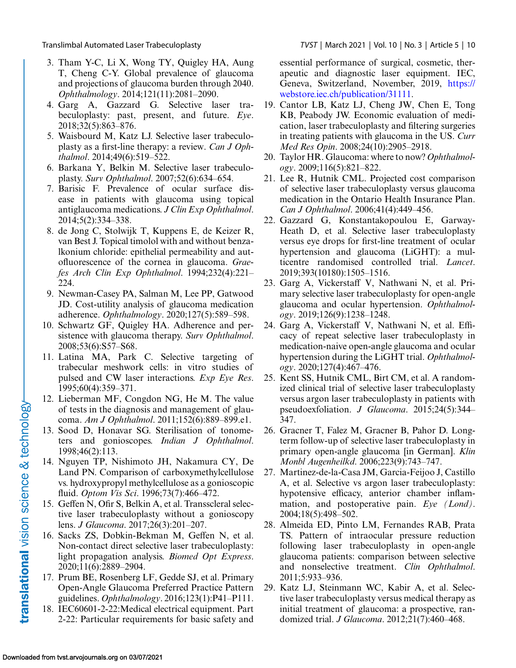- <span id="page-9-0"></span>3. Tham Y-C, Li X, Wong TY, Quigley HA, Aung T, Cheng C-Y. Global prevalence of glaucoma and projections of glaucoma burden through 2040. *Ophthalmology*. 2014;121(11):2081–2090.
- 4. Garg A, Gazzard G. Selective laser trabeculoplasty: past, present, and future. *Eye*. 2018;32(5):863–876.
- 5. Waisbourd M, Katz LJ. Selective laser trabeculoplasty as a first-line therapy: a review. *Can J Ophthalmol*. 2014;49(6):519–522.
- 6. Barkana Y, Belkin M. Selective laser trabeculoplasty. *Surv Ophthalmol*. 2007;52(6):634–654.
- 7. Barisic F. Prevalence of ocular surface disease in patients with glaucoma using topical antiglaucoma medications. *J Clin Exp Ophthalmol*. 2014;5(2):334–338.
- 8. de Jong C, Stolwijk T, Kuppens E, de Keizer R, van Best J. Topical timolol with and without benzalkonium chloride: epithelial permeability and autofluorescence of the cornea in glaucoma. *Graefes Arch Clin Exp Ophthalmol*. 1994;232(4):221– 224.
- 9. Newman-Casey PA, Salman M, Lee PP, Gatwood JD. Cost-utility analysis of glaucoma medication adherence. *Ophthalmology*. 2020;127(5):589–598.
- 10. Schwartz GF, Quigley HA. Adherence and persistence with glaucoma therapy. *Surv Ophthalmol*. 2008;53(6):S57–S68.
- 11. Latina MA, Park C. Selective targeting of trabecular meshwork cells: in vitro studies of pulsed and CW laser interactions. *Exp Eye Res*. 1995;60(4):359–371.
- 12. Lieberman MF, Congdon NG, He M. The value of tests in the diagnosis and management of glaucoma. *Am J Ophthalmol*. 2011;152(6):889–899.e1.
- 13. Sood D, Honavar SG. Sterilisation of tonometers and gonioscopes. *Indian J Ophthalmol*. 1998;46(2):113.
- 14. Nguyen TP, Nishimoto JH, Nakamura CY, De Land PN. Comparison of carboxymethylcellulose vs. hydroxypropyl methylcellulose as a gonioscopic fluid. *Optom Vis Sci*. 1996;73(7):466–472.
- 15. Geffen N, Ofir S, Belkin A, et al. Transscleral selective laser trabeculoplasty without a gonioscopy lens. *J Glaucoma*. 2017;26(3):201–207.
- 16. Sacks ZS, Dobkin-Bekman M, Geffen N, et al. Non-contact direct selective laser trabeculoplasty: light propagation analysis. *Biomed Opt Express*. 2020;11(6):2889–2904.
- 17. Prum BE, Rosenberg LF, Gedde SJ, et al. Primary Open-Angle Glaucoma Preferred Practice Pattern guidelines. *Ophthalmology*. 2016;123(1):P41–P111.
- 18. IEC60601-2-22:Medical electrical equipment. Part 2-22: Particular requirements for basic safety and

essential performance of surgical, cosmetic, therapeutic and diagnostic laser equipment. IEC, [Geneva, Switzerland, November, 2019,](https://webstore.iec.ch/publication/31111) https:// webstore.iec.ch/publication/31111.

- 19. Cantor LB, Katz LJ, Cheng JW, Chen E, Tong KB, Peabody JW. Economic evaluation of medication, laser trabeculoplasty and filtering surgeries in treating patients with glaucoma in the US. *Curr Med Res Opin*. 2008;24(10):2905–2918.
- 20. Taylor HR. Glaucoma: where to now? *Ophthalmology*. 2009;116(5):821–822.
- 21. Lee R, Hutnik CML. Projected cost comparison of selective laser trabeculoplasty versus glaucoma medication in the Ontario Health Insurance Plan. *Can J Ophthalmol*. 2006;41(4):449–456.
- 22. Gazzard G, Konstantakopoulou E, Garway-Heath D, et al. Selective laser trabeculoplasty versus eye drops for first-line treatment of ocular hypertension and glaucoma (LiGHT): a multicentre randomised controlled trial. *Lancet*. 2019;393(10180):1505–1516.
- 23. Garg A, Vickerstaff V, Nathwani N, et al. Primary selective laser trabeculoplasty for open-angle glaucoma and ocular hypertension. *Ophthalmology*. 2019;126(9):1238–1248.
- 24. Garg A, Vickerstaff V, Nathwani N, et al. Efficacy of repeat selective laser trabeculoplasty in medication-naive open-angle glaucoma and ocular hypertension during the LiGHT trial. *Ophthalmology*. 2020;127(4):467–476.
- 25. Kent SS, Hutnik CML, Birt CM, et al. A randomized clinical trial of selective laser trabeculoplasty versus argon laser trabeculoplasty in patients with pseudoexfoliation. *J Glaucoma*. 2015;24(5):344– 347.
- 26. Gracner T, Falez M, Gracner B, Pahor D. Longterm follow-up of selective laser trabeculoplasty in primary open-angle glaucoma [in German]. *Klin Monbl Augenheilkd*. 2006;223(9):743–747.
- 27. Martinez-de-la-Casa JM, Garcia-Feijoo J, Castillo A, et al. Selective vs argon laser trabeculoplasty: hypotensive efficacy, anterior chamber inflammation, and postoperative pain. *Eye (Lond)*. 2004;18(5):498–502.
- 28. Almeida ED, Pinto LM, Fernandes RAB, Prata TS. Pattern of intraocular pressure reduction following laser trabeculoplasty in open-angle glaucoma patients: comparison between selective and nonselective treatment. *Clin Ophthalmol*. 2011;5:933–936.
- 29. Katz LJ, Steinmann WC, Kabir A, et al. Selective laser trabeculoplasty versus medical therapy as initial treatment of glaucoma: a prospective, randomized trial. *J Glaucoma*. 2012;21(7):460–468.